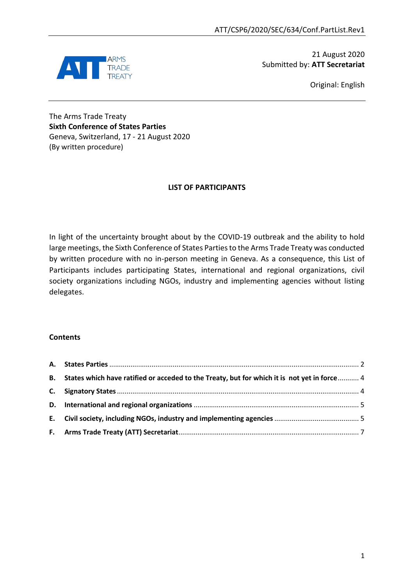

21 August 2020 Submitted by: **ATT Secretariat**

Original: English

The Arms Trade Treaty **Sixth Conference of States Parties** Geneva, Switzerland, 17 - 21 August 2020 (By written procedure)

## **LIST OF PARTICIPANTS**

In light of the uncertainty brought about by the COVID-19 outbreak and the ability to hold large meetings, the Sixth Conference of States Parties to the Arms Trade Treaty was conducted by written procedure with no in-person meeting in Geneva. As a consequence, this List of Participants includes participating States, international and regional organizations, civil society organizations including NGOs, industry and implementing agencies without listing delegates.

### **Contents**

| B. States which have ratified or acceded to the Treaty, but for which it is not yet in force 4 |  |
|------------------------------------------------------------------------------------------------|--|
|                                                                                                |  |
|                                                                                                |  |
|                                                                                                |  |
|                                                                                                |  |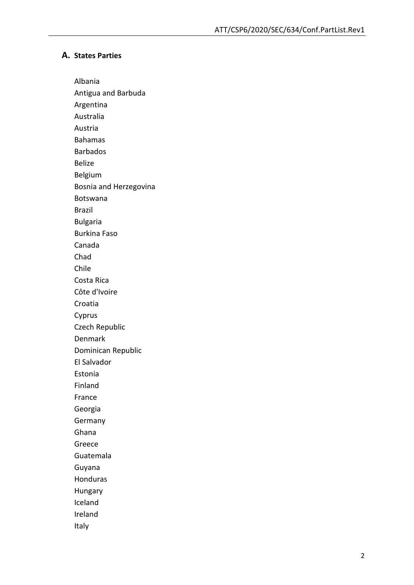#### <span id="page-1-0"></span>**A. States Parties**

Albania

Antigua and Barbuda

Argentina Australia

Austria

Bahamas

Barbados

Belize

Belgium

Bosnia and Herzegovina

Botswana

Brazil

Bulgaria

Burkina Faso

Canada

Chad

Chile

Costa Rica

Côte d'Ivoire

Croatia

Cyprus

Czech Republic

Denmark

Dominican Republic

El Salvador

Estonia

Finland France

Georgia

Germany

Ghana

Greece

Guatemala

Guyana

Honduras

Hungary

Iceland

Ireland

Italy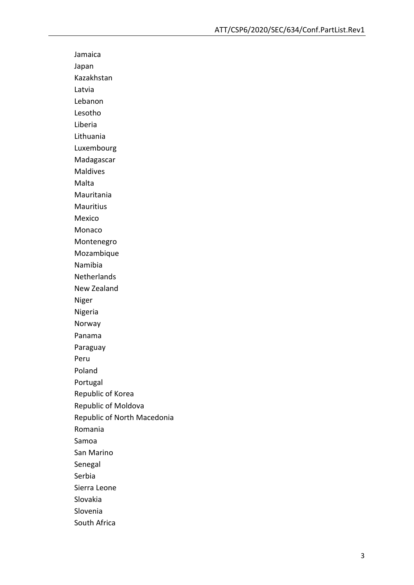Jamaica Japan Kazakhstan Latvia Lebanon Lesotho Liberia Lithuania Luxembourg Madagascar Maldives Malta Mauritania Mauritius Mexico Monaco Montenegro Mozambique Namibia **Netherlands** New Zealand Niger Nigeria Norway Panama Paraguay Peru Poland Portugal Republic of Korea Republic of Moldova Republic of North Macedonia Romania Samoa San Marino Senegal Serbia Sierra Leone Slovakia Slovenia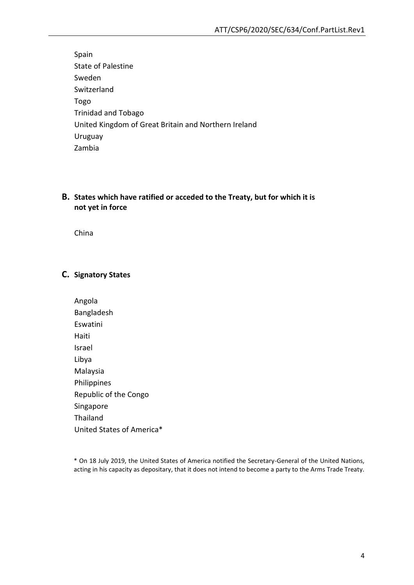Spain State of Palestine Sweden Switzerland Togo Trinidad and Tobago United Kingdom of Great Britain and Northern Ireland Uruguay Zambia

# <span id="page-3-0"></span>**B. States which have ratified or acceded to the Treaty, but for which it is not yet in force**

China

## <span id="page-3-1"></span>**C. Signatory States**

Angola Bangladesh Eswatini Haiti Israel Libya Malaysia Philippines Republic of the Congo Singapore Thailand United States of America\*

<sup>\*</sup> On 18 July 2019, the United States of America notified the Secretary-General of the United Nations, acting in his capacity as depositary, that it does not intend to become a party to the Arms Trade Treaty.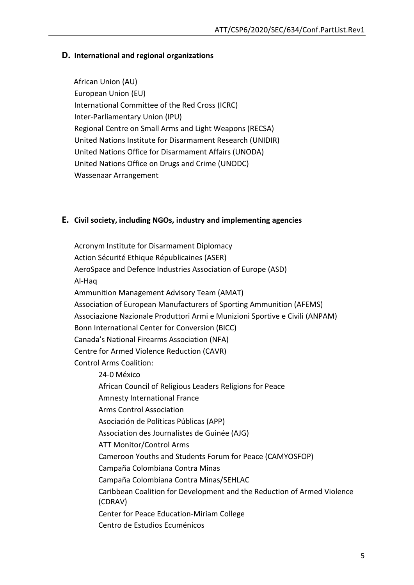## <span id="page-4-0"></span>**D. International and regional organizations**

African Union (AU) European Union (EU) International Committee of the Red Cross (ICRC) Inter-Parliamentary Union (IPU) Regional Centre on Small Arms and Light Weapons (RECSA) United Nations Institute for Disarmament Research (UNIDIR) United Nations Office for Disarmament Affairs (UNODA) United Nations Office on Drugs and Crime (UNODC) Wassenaar Arrangement

### <span id="page-4-1"></span>**E. Civil society, including NGOs, industry and implementing agencies**

Acronym Institute for Disarmament Diplomacy Action Sécurité Ethique Républicaines (ASER) AeroSpace and Defence Industries Association of Europe (ASD) Al-Haq Ammunition Management Advisory Team (AMAT) Association of European Manufacturers of Sporting Ammunition (AFEMS) Associazione Nazionale Produttori Armi e Munizioni Sportive e Civili (ANPAM) Bonn International Center for Conversion (BICC) Canada's National Firearms Association (NFA) Centre for Armed Violence Reduction (CAVR) Control Arms Coalition: 24-0 México African Council of Religious Leaders Religions for Peace Amnesty International France Arms Control Association Asociación de Políticas Públicas (APP) Association des Journalistes de Guinée (AJG) ATT Monitor/Control Arms Cameroon Youths and Students Forum for Peace (CAMYOSFOP) Campaña Colombiana Contra Minas Campaña Colombiana Contra Minas/SEHLAC Caribbean Coalition for Development and the Reduction of Armed Violence (CDRAV) Center for Peace Education-Miriam College Centro de Estudios Ecuménicos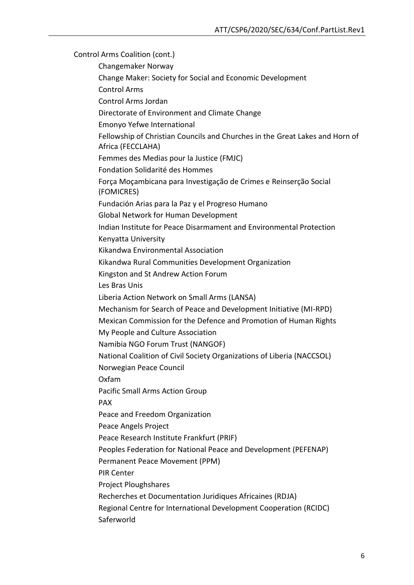Control Arms Coalition (cont.) Changemaker Norway Change Maker: Society for Social and Economic Development Control Arms Control Arms Jordan Directorate of Environment and Climate Change Emonyo Yefwe International Fellowship of Christian Councils and Churches in the Great Lakes and Horn of Africa (FECCLAHA) Femmes des Medias pour la Justice (FMJC) Fondation Solidarité des Hommes Força Moçambicana para Investigação de Crimes e Reinserção Social (FOMICRES) Fundación Arias para la Paz y el Progreso Humano Global Network for Human Development Indian Institute for Peace Disarmament and Environmental Protection Kenyatta University Kikandwa Environmental Association Kikandwa Rural Communities Development Organization Kingston and St Andrew Action Forum Les Bras Unis Liberia Action Network on Small Arms (LANSA) Mechanism for Search of Peace and Development Initiative (MI-RPD) Mexican Commission for the Defence and Promotion of Human Rights My People and Culture Association Namibia NGO Forum Trust (NANGOF) National Coalition of Civil Society Organizations of Liberia (NACCSOL) Norwegian Peace Council Oxfam Pacific Small Arms Action Group PAX Peace and Freedom Organization Peace Angels Project Peace Research Institute Frankfurt (PRIF) Peoples Federation for National Peace and Development (PEFENAP) Permanent Peace Movement (PPM) PIR Center Project Ploughshares Recherches et Documentation Juridiques Africaines (RDJA) Regional Centre for International Development Cooperation (RCIDC) **Saferworld**